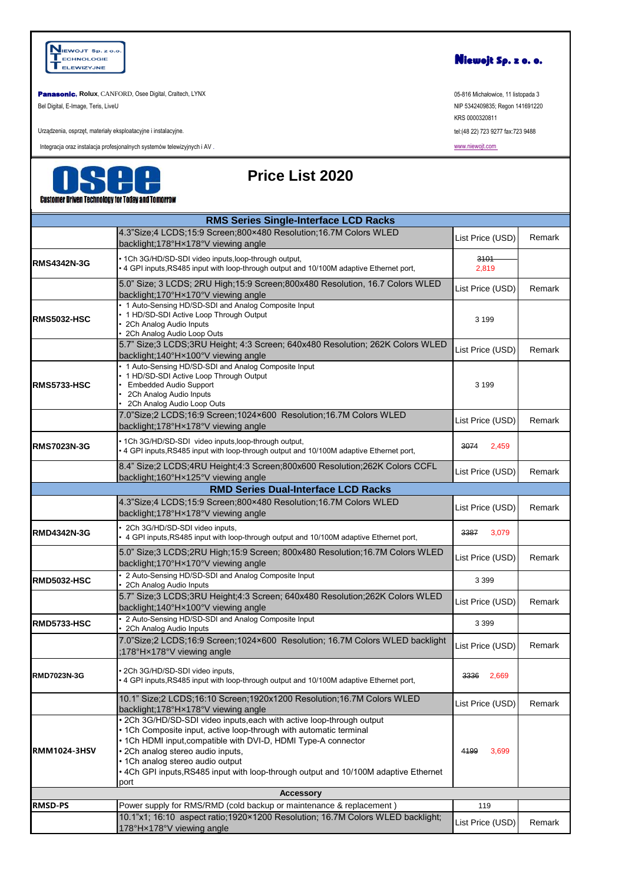

**Panasonic**, Rolux, CANFORD, Osee Digital, Craltech, LYNX 05-816 Michalawice, 11 listopada 3

Bel Digital, E-Image, Teris, LiveU NIP 5342409835; Regon 141691220

Urządzenia, osprzęt, materiały eksploatacyjne i instalacyjne.

Integracja oraz instalacja profesjonalnych systemów telewizyjnych i AV .



#### **Price List 2020**

KRS 0000320811 tel:(48 22) 723 9277 fax:723 9488

[www.niewojt.com](http://www.niewojt.com/) 

|                     | GUSLUMICI DINGH IGGMNUUYJ IUI TUUAJ ANU TUMUITUM                                                                                                                                                                                                                                                                                                                                       |                  |        |
|---------------------|----------------------------------------------------------------------------------------------------------------------------------------------------------------------------------------------------------------------------------------------------------------------------------------------------------------------------------------------------------------------------------------|------------------|--------|
|                     | <b>RMS Series Single-Interface LCD Racks</b>                                                                                                                                                                                                                                                                                                                                           |                  |        |
|                     | 4.3"Size;4 LCDS;15:9 Screen;800×480 Resolution;16.7M Colors WLED<br>backlight;178°Hx178°V viewing angle                                                                                                                                                                                                                                                                                | List Price (USD) | Remark |
| <b>RMS4342N-3G</b>  | • 1Ch 3G/HD/SD-SDI video inputs, loop-through output,<br>• 4 GPI inputs, RS485 input with loop-through output and 10/100M adaptive Ethernet port,                                                                                                                                                                                                                                      | 3101<br>2,819    |        |
|                     | 5.0" Size; 3 LCDS; 2RU High;15:9 Screen;800x480 Resolution, 16.7 Colors WLED<br>backlight;170°Hx170°V viewing angle                                                                                                                                                                                                                                                                    | List Price (USD) | Remark |
| <b>RMS5032-HSC</b>  | • 1 Auto-Sensing HD/SD-SDI and Analog Composite Input<br>• 1 HD/SD-SDI Active Loop Through Output<br>2Ch Analog Audio Inputs<br>2Ch Analog Audio Loop Outs                                                                                                                                                                                                                             | 3 1 9 9          |        |
|                     | 5.7" Size;3 LCDS;3RU Height; 4:3 Screen; 640x480 Resolution; 262K Colors WLED<br>backlight;140°Hx100°V viewing angle                                                                                                                                                                                                                                                                   | List Price (USD) | Remark |
| <b>RMS5733-HSC</b>  | • 1 Auto-Sensing HD/SD-SDI and Analog Composite Input<br>• 1 HD/SD-SDI Active Loop Through Output<br><b>Embedded Audio Support</b><br>2Ch Analog Audio Inputs<br>2Ch Analog Audio Loop Outs                                                                                                                                                                                            | 3 1 9 9          |        |
|                     | 7.0"Size;2 LCDS;16:9 Screen;1024×600 Resolution;16.7M Colors WLED<br>backlight;178°Hx178°V viewing angle                                                                                                                                                                                                                                                                               | List Price (USD) | Remark |
| <b>RMS7023N-3G</b>  | • 1Ch 3G/HD/SD-SDI video inputs, loop-through output,<br>• 4 GPI inputs, RS485 input with loop-through output and 10/100M adaptive Ethernet port,                                                                                                                                                                                                                                      | 3074<br>2,459    |        |
|                     | 8.4" Size;2 LCDS;4RU Height;4:3 Screen;800x600 Resolution;262K Colors CCFL<br>backlight;160°Hx125°V viewing angle                                                                                                                                                                                                                                                                      | List Price (USD) | Remark |
|                     | <b>RMD Series Dual-Interface LCD Racks</b>                                                                                                                                                                                                                                                                                                                                             |                  |        |
|                     | 4.3"Size;4 LCDS;15:9 Screen;800×480 Resolution;16.7M Colors WLED<br>backlight;178°Hx178°V viewing angle                                                                                                                                                                                                                                                                                | List Price (USD) | Remark |
| <b>RMD4342N-3G</b>  | 2Ch 3G/HD/SD-SDI video inputs,<br>4 GPI inputs, RS485 input with loop-through output and 10/100M adaptive Ethernet port,                                                                                                                                                                                                                                                               | 3387<br>3,079    |        |
|                     | 5.0" Size;3 LCDS;2RU High;15:9 Screen; 800x480 Resolution;16.7M Colors WLED<br>backlight;170°Hx170°V viewing angle                                                                                                                                                                                                                                                                     | List Price (USD) | Remark |
| RMD5032-HSC         | 2 Auto-Sensing HD/SD-SDI and Analog Composite Input<br>2Ch Analog Audio Inputs                                                                                                                                                                                                                                                                                                         | 3 3 9 9          |        |
|                     | 5.7" Size;3 LCDS;3RU Height;4:3 Screen; 640x480 Resolution;262K Colors WLED<br>backlight;140°Hx100°V viewing angle                                                                                                                                                                                                                                                                     | List Price (USD) | Remark |
| <b>RMD5733-HSC</b>  | 2 Auto-Sensing HD/SD-SDI and Analog Composite Input<br>2Ch Analog Audio Inputs                                                                                                                                                                                                                                                                                                         | 3 3 9 9          |        |
|                     | 7.0"Size;2 LCDS;16:9 Screen;1024×600 Resolution; 16.7M Colors WLED backlight<br>:178°Hx178°V viewing angle                                                                                                                                                                                                                                                                             | List Price (USD) | Remark |
| <b>RMD7023N-3G</b>  | 2Ch 3G/HD/SD-SDI video inputs,<br>• 4 GPI inputs, RS485 input with loop-through output and 10/100M adaptive Ethernet port,                                                                                                                                                                                                                                                             | 3336<br>2,669    |        |
|                     | 10.1" Size;2 LCDS;16:10 Screen;1920x1200 Resolution;16.7M Colors WLED<br>backlight;178°Hx178°V viewing angle                                                                                                                                                                                                                                                                           | List Price (USD) | Remark |
| <b>RMM1024-3HSV</b> | • 2Ch 3G/HD/SD-SDI video inputs, each with active loop-through output<br>• 1Ch Composite input, active loop-through with automatic terminal<br>• 1Ch HDMI input, compatible with DVI-D, HDMI Type-A connector<br>· 2Ch analog stereo audio inputs,<br>• 1Ch analog stereo audio output<br>• 4Ch GPI inputs, RS485 input with loop-through output and 10/100M adaptive Ethernet<br>port | 4199<br>3,699    |        |
|                     | <b>Accessory</b>                                                                                                                                                                                                                                                                                                                                                                       |                  |        |
| <b>RMSD-PS</b>      | Power supply for RMS/RMD (cold backup or maintenance & replacement)                                                                                                                                                                                                                                                                                                                    | 119              |        |
|                     | 10.1"x1; 16:10 aspect ratio;1920×1200 Resolution; 16.7M Colors WLED backlight;<br>178°Hx178°V viewing angle                                                                                                                                                                                                                                                                            | List Price (USD) | Remark |

Niewojt Sp. z o. o.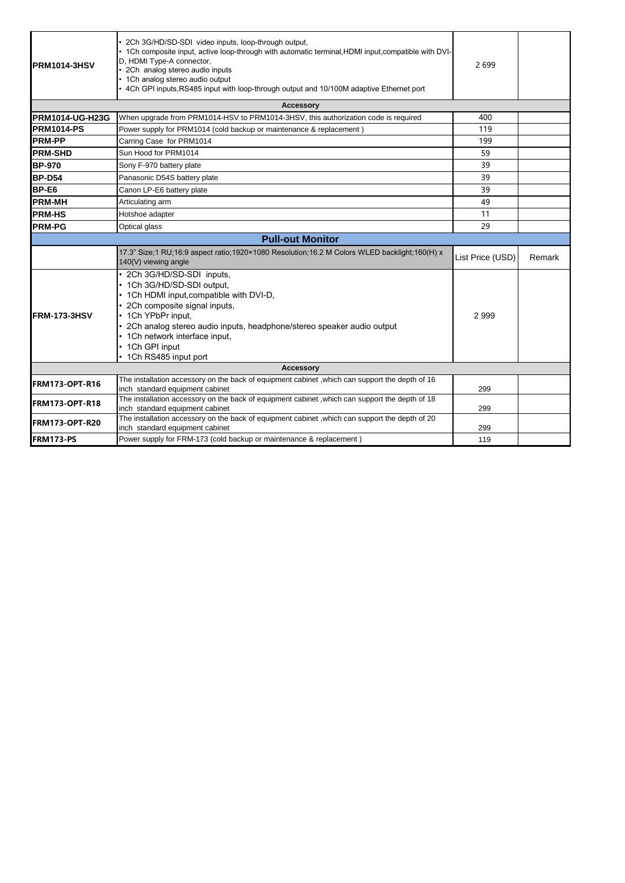| PRM1014-3HSV           | 2Ch 3G/HD/SD-SDI video inputs, loop-through output,<br>• 1Ch composite input, active loop-through with automatic terminal, HDMI input, compatible with DVI-<br>D, HDMI Type-A connector,<br>2Ch analog stereo audio inputs<br>• 1Ch analog stereo audio output<br>• 4Ch GPI inputs, RS485 input with loop-through output and 10/100M adaptive Ethernet port | 2699             |        |
|------------------------|-------------------------------------------------------------------------------------------------------------------------------------------------------------------------------------------------------------------------------------------------------------------------------------------------------------------------------------------------------------|------------------|--------|
|                        | <b>Accessory</b>                                                                                                                                                                                                                                                                                                                                            |                  |        |
| <b>PRM1014-UG-H23G</b> | When upgrade from PRM1014-HSV to PRM1014-3HSV, this authorization code is required                                                                                                                                                                                                                                                                          | 400              |        |
| <b>PRM1014-PS</b>      | Power supply for PRM1014 (cold backup or maintenance & replacement)                                                                                                                                                                                                                                                                                         | 119              |        |
| <b>PRM-PP</b>          | Carring Case for PRM1014                                                                                                                                                                                                                                                                                                                                    | 199              |        |
| <b>PRM-SHD</b>         | Sun Hood for PRM1014                                                                                                                                                                                                                                                                                                                                        | 59               |        |
| <b>BP-970</b>          | Sony F-970 battery plate                                                                                                                                                                                                                                                                                                                                    | 39               |        |
| BP-D54                 | Panasonic D54S battery plate                                                                                                                                                                                                                                                                                                                                | 39               |        |
| BP-E6                  | Canon LP-E6 battery plate                                                                                                                                                                                                                                                                                                                                   | 39               |        |
| <b>PRM-MH</b>          | Articulating arm                                                                                                                                                                                                                                                                                                                                            | 49               |        |
| <b>PRM-HS</b>          | Hotshoe adapter                                                                                                                                                                                                                                                                                                                                             | 11               |        |
| <b>PRM-PG</b>          | Optical glass                                                                                                                                                                                                                                                                                                                                               | 29               |        |
|                        | <b>Pull-out Monitor</b>                                                                                                                                                                                                                                                                                                                                     |                  |        |
|                        | 17.3" Size:1 RU:16:9 aspect ratio:1920×1080 Resolution:16.2 M Colors WLED backlight:160(H) x<br>140(V) viewing angle                                                                                                                                                                                                                                        | List Price (USD) | Remark |
| FRM-173-3HSV           | • 2Ch 3G/HD/SD-SDI inputs,<br>• 1Ch 3G/HD/SD-SDI output,<br>• 1Ch HDMI input, compatible with DVI-D,<br>• 2Ch composite signal inputs,<br>• 1Ch YPbPr input,<br>• 2Ch analog stereo audio inputs, headphone/stereo speaker audio output<br>• 1Ch network interface input,<br>• 1Ch GPI input<br>• 1Ch RS485 input port                                      | 2999             |        |
|                        | <b>Accessory</b>                                                                                                                                                                                                                                                                                                                                            |                  |        |
| FRM173-OPT-R16         | The installation accessory on the back of equipment cabinet, which can support the depth of 16<br>inch standard equipment cabinet                                                                                                                                                                                                                           | 299              |        |
| FRM173-OPT-R18         | The installation accessory on the back of equipment cabinet , which can support the depth of 18<br>inch standard equipment cabinet                                                                                                                                                                                                                          | 299              |        |
| FRM173-OPT-R20         | The installation accessory on the back of equipment cabinet, which can support the depth of 20<br>inch standard equipment cabinet                                                                                                                                                                                                                           | 299              |        |
| FRM173-PS              | Power supply for FRM-173 (cold backup or maintenance & replacement)                                                                                                                                                                                                                                                                                         | 119              |        |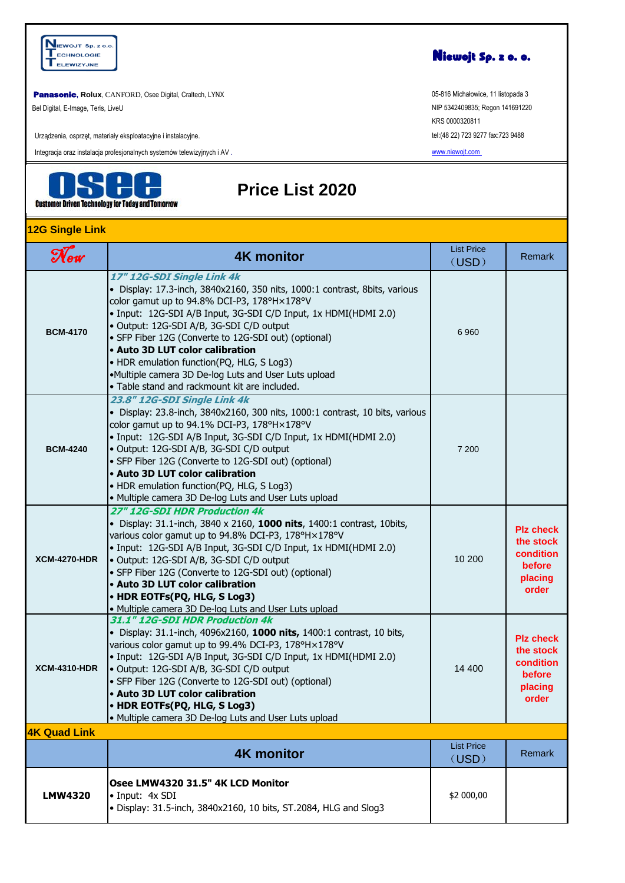

**Panasonic, Rolux, CANFORD, Osee Digital, Craltech, LYNX** 

Bel Digital, E-Image, Teris, LiveU

Urządzenia, osprzęt, materiały eksploatacyjne i instalacyjne.

Integracja oraz instalacja profesjonalnych systemów telewizyjnych i AV .



### **Price List 2020**

 $\mathcal{N}_{ew}$  **4K monitor**  $\begin{array}{|c|c|c|c|c|}\n\hline\n\text{N}_{ew} & \text{List Price} \\
\hline\n\end{array}$ (USD) Remark **BCM-4170 17" 12G-SDI Single Link 4k**  • Display: 17.3-inch, 3840x2160, 350 nits, 1000:1 contrast, 8bits, various color gamut up to 94.8% DCI-P3, 178°H×178°V • Input: 12G-SDI A/B Input, 3G-SDI C/D Input, 1x HDMI(HDMI 2.0) • Output: 12G-SDI A/B, 3G-SDI C/D output • SFP Fiber 12G (Converte to 12G-SDI out) (optional) • **Auto 3D LUT color calibration**  • HDR emulation function(PQ, HLG, S Log3) •Multiple camera 3D De-log Luts and User Luts upload • Table stand and rackmount kit are included. 6 960 **BCM-4240 23.8" 12G-SDI Single Link 4k**  • Display: 23.8-inch, 3840x2160, 300 nits, 1000:1 contrast, 10 bits, various color gamut up to 94.1% DCI-P3, 178°H×178°V • Input: 12G-SDI A/B Input, 3G-SDI C/D Input, 1x HDMI(HDMI 2.0) • Output: 12G-SDI A/B, 3G-SDI C/D output • SFP Fiber 12G (Converte to 12G-SDI out) (optional) • **Auto 3D LUT color calibration**  • HDR emulation function(PQ, HLG, S Log3) • Multiple camera 3D De-log Luts and User Luts upload 7 200 **XCM-4270-HDR 27" 12G-SDI HDR Production 4k**  • Display: 31.1-inch, 3840 x 2160, **1000 nits**, 1400:1 contrast, 10bits, various color gamut up to 94.8% DCI-P3, 178°H×178°V • Input: 12G-SDI A/B Input, 3G-SDI C/D Input, 1x HDMI(HDMI 2.0) • Output: 12G-SDI A/B, 3G-SDI C/D output • SFP Fiber 12G (Converte to 12G-SDI out) (optional) • **Auto 3D LUT color calibration**  • **HDR EOTFs(PQ, HLG, S Log3)**  • Multiple camera 3D De-log Luts and User Luts upload 10 200 **Plz check the stock condition before placing order XCM-4310-HDR 31.1" 12G-SDI HDR Production 4k**  • Display: 31.1-inch, 4096x2160, **1000 nits,** 1400:1 contrast, 10 bits, various color gamut up to 99.4% DCI-P3, 178°H×178°V • Input: 12G-SDI A/B Input, 3G-SDI C/D Input, 1x HDMI(HDMI 2.0) • Output: 12G-SDI A/B, 3G-SDI C/D output • SFP Fiber 12G (Converte to 12G-SDI out) (optional) • **Auto 3D LUT color calibration**  • **HDR EOTFs(PQ, HLG, S Log3)**  • Multiple camera 3D De-log Luts and User Luts upload 14 400 **Plz check the stock condition before placing order 4K monitor** List Price (USD) Remark **LMW4320 Osee LMW4320 31.5" 4K LCD Monitor**  • Input: 4x SDI • Display: 31.5-inch, 3840x2160, 10 bits, ST.2084, HLG and Slog3 \$2 000,00 **4K Quad Link 12G Single Link**



05-816 Michałowice, 11 listopada 3 NIP 5342409835; Regon 141691220 KRS 0000320811 tel:(48 22) 723 9277 fax:723 9488

[www.niewojt.com](http://www.niewojt.com/)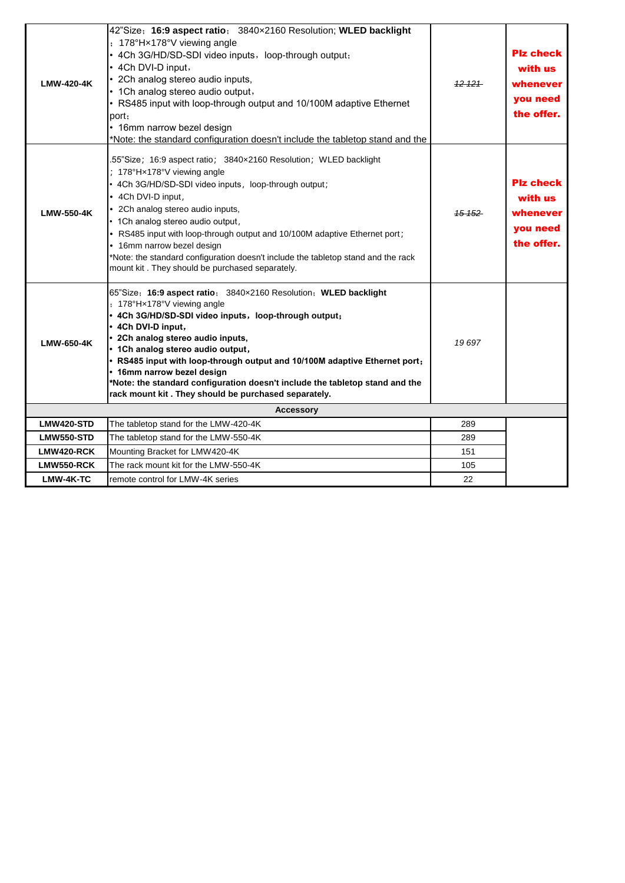| <b>LMW-420-4K</b> | 42"Size; 16:9 aspect ratio; 3840x2160 Resolution; WLED backlight<br>: 178°Hx178°V viewing angle<br>• 4Ch 3G/HD/SD-SDI video inputs, loop-through output;<br>• 4Ch DVI-D input,<br>• 2Ch analog stereo audio inputs,<br>• 1Ch analog stereo audio output,<br>• RS485 input with loop-through output and 10/100M adaptive Ethernet<br>port:<br>• 16mm narrow bezel design<br>*Note: the standard configuration doesn't include the tabletop stand and the                                                       | 12121  | Plz check<br>with us<br>whenever<br>you need<br>the offer.        |
|-------------------|---------------------------------------------------------------------------------------------------------------------------------------------------------------------------------------------------------------------------------------------------------------------------------------------------------------------------------------------------------------------------------------------------------------------------------------------------------------------------------------------------------------|--------|-------------------------------------------------------------------|
| LMW-550-4K        | .55"Size; 16:9 aspect ratio; 3840x2160 Resolution; WLED backlight<br>; 178°Hx178°V viewing angle<br>• 4Ch 3G/HD/SD-SDI video inputs, loop-through output;<br>• 4Ch DVI-D input,<br>• 2Ch analog stereo audio inputs,<br>• 1Ch analog stereo audio output,<br>• RS485 input with loop-through output and 10/100M adaptive Ethernet port;<br>• 16mm narrow bezel design<br>*Note: the standard configuration doesn't include the tabletop stand and the rack<br>mount kit. They should be purchased separately. | 15 152 | <b>Piz check</b><br>with us<br>whenever<br>you need<br>the offer. |
| LMW-650-4K        | 65"Size; 16:9 aspect ratio; 3840x2160 Resolution; WLED backlight<br>: 178°Hx178°V viewing angle<br>• 4Ch 3G/HD/SD-SDI video inputs, loop-through output;<br>• 4Ch DVI-D input,<br>• 2Ch analog stereo audio inputs,<br>• 1Ch analog stereo audio output,<br>• RS485 input with loop-through output and 10/100M adaptive Ethernet port;<br>• 16mm narrow bezel design<br>*Note: the standard configuration doesn't include the tabletop stand and the<br>rack mount kit. They should be purchased separately.  | 19697  |                                                                   |
|                   | <b>Accessory</b>                                                                                                                                                                                                                                                                                                                                                                                                                                                                                              |        |                                                                   |
| LMW420-STD        | The tabletop stand for the LMW-420-4K                                                                                                                                                                                                                                                                                                                                                                                                                                                                         | 289    |                                                                   |
| <b>LMW550-STD</b> | The tabletop stand for the LMW-550-4K                                                                                                                                                                                                                                                                                                                                                                                                                                                                         | 289    |                                                                   |
| LMW420-RCK        | Mounting Bracket for LMW420-4K                                                                                                                                                                                                                                                                                                                                                                                                                                                                                | 151    |                                                                   |
| LMW550-RCK        | The rack mount kit for the LMW-550-4K                                                                                                                                                                                                                                                                                                                                                                                                                                                                         | 105    |                                                                   |
| LMW-4K-TC         | remote control for LMW-4K series                                                                                                                                                                                                                                                                                                                                                                                                                                                                              | 22     |                                                                   |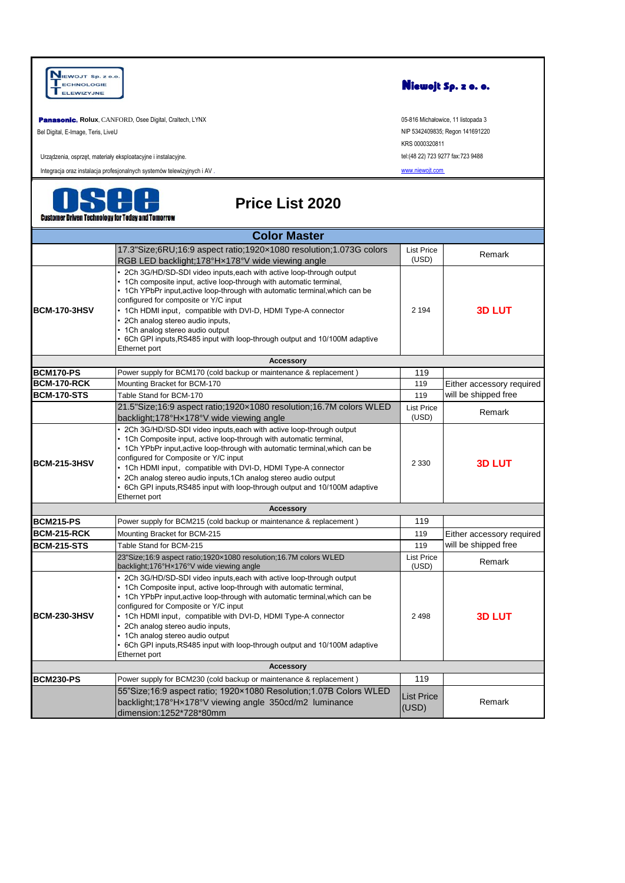NIEWOJT Sp. z o.o Niewojt Sp. z o. o. ECHNOLOGIE ELEWIZYJNE **asonic, Rolux**, CANFORD, Osee Digital, Craltech, LYNX 05-816 Michałowice, 11 listopada 3 Bel Digital, E-Image, Teris, LiveU NIP 5342409835; Regon 141691220 KRS 0000320811 Urządzenia, osprzęt, materiały eksploatacyjne i instalacyjne. tel:(48 22) 723 9277 fax:723 9488 [www.niewojt.com](http://www.niewojt.com/) Integracja oraz instalacja profesjonalnych systemów telewizyjnych i AV . **Price List 2020Customer Driven Technology for Today and Tomorrow Color Master** 17.3"Size;6RU;16:9 aspect ratio;1920×1080 resolution;1.073G colors List Price (USD) Remark RGB LED backlight;178°H×178°V wide viewing angle • 2Ch 3G/HD/SD-SDI video inputs,each with active loop-through output 1Ch composite input, active loop-through with automatic terminal, • 1Ch YPbPr input,active loop-through with automatic terminal,which can be configured for composite or Y/C input 2 194 **3D LUT BCM-170-3HSV** 1Ch HDMI input, compatible with DVI-D, HDMI Type-A connector 2Ch analog stereo audio inputs, 1Ch analog stereo audio output • 6Ch GPI inputs,RS485 input with loop-through output and 10/100M adaptive Ethernet port **Accessory BCM170-PS** Power supply for BCM170 (cold backup or maintenance & replacement ) 119 **BCM-170-RCK** Mounting Bracket for BCM-170 119 Either accessory required **BCM-170-STS** Table Stand for BCM-170 119 will be shipped free 21.5"Size;16:9 aspect ratio;1920×1080 resolution;16.7M colors WLED List Price<br>(USD) Remark backlight;178°H×178°V wide viewing angle • 2Ch 3G/HD/SD-SDI video inputs,each with active loop-through output 1Ch Composite input, active loop-through with automatic terminal, • 1Ch YPbPr input,active loop-through with automatic terminal,which can be configured for Composite or Y/C input **BCM-215-3HSV** 2 330 **3D LUT** 1Ch HDMI input, compatible with DVI-D, HDMI Type-A connector • 2Ch analog stereo audio inputs,1Ch analog stereo audio output • 6Ch GPI inputs,RS485 input with loop-through output and 10/100M adaptive Ethernet port **Accessory BCM215-PS** Power supply for BCM215 (cold backup or maintenance & replacement ) 119 **BCM-215-RCK** Mounting Bracket for BCM-215 119 Either accessory required **BCM-215-STS** Table Stand for BCM-215 119 will be shipped free 23"Size;16:9 aspect ratio;1920×1080 resolution;16.7M colors WLED List Price (USD) Remark backlight;176°H×176°V wide viewing angle • 2Ch 3G/HD/SD-SDI video inputs,each with active loop-through output • 1Ch Composite input, active loop-through with automatic terminal, • 1Ch YPbPr input,active loop-through with automatic terminal,which can be configured for Composite or Y/C input **BCM-230-3HSV** 1Ch HDMI input, compatible with DVI-D, HDMI Type-A connector 2 498 **3D LUT** 2Ch analog stereo audio inputs, 1Ch analog stereo audio output • 6Ch GPI inputs,RS485 input with loop-through output and 10/100M adaptive Ethernet port **Accessory BCM230-PS** Power supply for BCM230 (cold backup or maintenance & replacement ) 119 55"Size;16:9 aspect ratio; 1920×1080 Resolution;1.07B Colors WLED List Price (USD) Remark backlight;178°H×178°V viewing angle 350cd/m2 luminance dimension:1252\*728\*80mm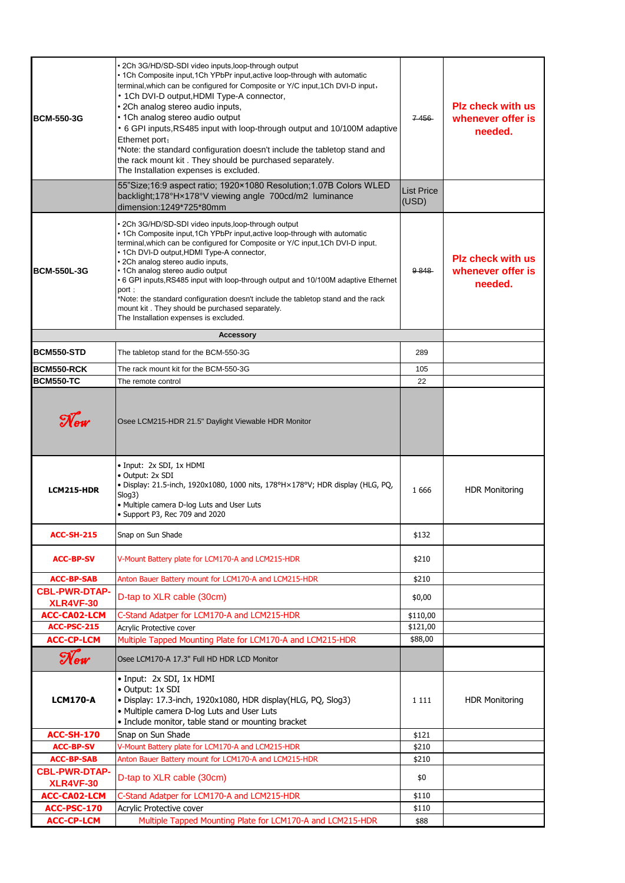| <b>BCM-550-3G</b>                        | • 2Ch 3G/HD/SD-SDI video inputs, loop-through output<br>• 1Ch Composite input, 1Ch YPbPr input, active loop-through with automatic<br>terminal, which can be configured for Composite or Y/C input, 1Ch DVI-D input,<br>• 1Ch DVI-D output, HDMI Type-A connector,<br>· 2Ch analog stereo audio inputs,<br>• 1Ch analog stereo audio output<br>• 6 GPI inputs, RS485 input with loop-through output and 10/100M adaptive<br>Ethernet port;<br>*Note: the standard configuration doesn't include the tabletop stand and<br>the rack mount kit. They should be purchased separately.<br>The Installation expenses is excluded. | $7-456$                    | <b>Plz check with us</b><br>whenever offer is<br>needed. |
|------------------------------------------|------------------------------------------------------------------------------------------------------------------------------------------------------------------------------------------------------------------------------------------------------------------------------------------------------------------------------------------------------------------------------------------------------------------------------------------------------------------------------------------------------------------------------------------------------------------------------------------------------------------------------|----------------------------|----------------------------------------------------------|
|                                          | 55"Size;16:9 aspect ratio; 1920×1080 Resolution;1.07B Colors WLED<br>backlight;178°Hx178°V viewing angle 700cd/m2 luminance<br>dimension:1249*725*80mm                                                                                                                                                                                                                                                                                                                                                                                                                                                                       | <b>List Price</b><br>(USD) |                                                          |
| <b>BCM-550L-3G</b>                       | • 2Ch 3G/HD/SD-SDI video inputs,loop-through output<br>• 1Ch Composite input, 1Ch YPbPr input, active loop-through with automatic<br>terminal, which can be configured for Composite or Y/C input, 1Ch DVI-D input,<br>• 1Ch DVI-D output, HDMI Type-A connector,<br>· 2Ch analog stereo audio inputs,<br>• 1Ch analog stereo audio output<br>• 6 GPI inputs, RS485 input with loop-through output and 10/100M adaptive Ethernet<br>port :<br>*Note: the standard configuration doesn't include the tabletop stand and the rack<br>mount kit. They should be purchased separately.<br>The Installation expenses is excluded. | 9848                       | <b>Plz check with us</b><br>whenever offer is<br>needed. |
|                                          | <b>Accessory</b>                                                                                                                                                                                                                                                                                                                                                                                                                                                                                                                                                                                                             |                            |                                                          |
| <b>BCM550-STD</b>                        | The tabletop stand for the BCM-550-3G                                                                                                                                                                                                                                                                                                                                                                                                                                                                                                                                                                                        | 289                        |                                                          |
| <b>BCM550-RCK</b>                        | The rack mount kit for the BCM-550-3G                                                                                                                                                                                                                                                                                                                                                                                                                                                                                                                                                                                        | 105                        |                                                          |
| <b>BCM550-TC</b>                         | The remote control                                                                                                                                                                                                                                                                                                                                                                                                                                                                                                                                                                                                           | 22                         |                                                          |
| $\mathcal{N}_{\mathsf{ew}}$              | Osee LCM215-HDR 21.5" Daylight Viewable HDR Monitor                                                                                                                                                                                                                                                                                                                                                                                                                                                                                                                                                                          |                            |                                                          |
| LCM215-HDR                               | • Input: 2x SDI, 1x HDMI<br>• Output: 2x SDI<br>. Display: 21.5-inch, 1920x1080, 1000 nits, 178°H×178°V; HDR display (HLG, PQ,<br>Slog3)<br>. Multiple camera D-log Luts and User Luts<br>• Support P3, Rec 709 and 2020                                                                                                                                                                                                                                                                                                                                                                                                     | 1 6 6 6                    | <b>HDR Monitoring</b>                                    |
| <b>ACC-SH-215</b>                        | Snap on Sun Shade                                                                                                                                                                                                                                                                                                                                                                                                                                                                                                                                                                                                            | \$132                      |                                                          |
| <b>ACC-BP-SV</b>                         | V-Mount Battery plate for LCM170-A and LCM215-HDR                                                                                                                                                                                                                                                                                                                                                                                                                                                                                                                                                                            | \$210                      |                                                          |
| <b>ACC-BP-SAB</b>                        | Anton Bauer Battery mount for LCM170-A and LCM215-HDR                                                                                                                                                                                                                                                                                                                                                                                                                                                                                                                                                                        | \$210                      |                                                          |
| <b>CBL-PWR-DTAP-</b><br><b>XLR4VF-30</b> | D-tap to XLR cable (30cm)                                                                                                                                                                                                                                                                                                                                                                                                                                                                                                                                                                                                    | \$0,00                     |                                                          |
| <b>ACC-CA02-LCM</b>                      | C-Stand Adatper for LCM170-A and LCM215-HDR                                                                                                                                                                                                                                                                                                                                                                                                                                                                                                                                                                                  | \$110,00                   |                                                          |
| <b>ACC-PSC-215</b>                       | Acrylic Protective cover<br>Multiple Tapped Mounting Plate for LCM170-A and LCM215-HDR                                                                                                                                                                                                                                                                                                                                                                                                                                                                                                                                       | \$121,00<br>\$88,00        |                                                          |
| <b>ACC-CP-LCM</b>                        |                                                                                                                                                                                                                                                                                                                                                                                                                                                                                                                                                                                                                              |                            |                                                          |
| New                                      | Osee LCM170-A 17.3" Full HD HDR LCD Monitor                                                                                                                                                                                                                                                                                                                                                                                                                                                                                                                                                                                  |                            |                                                          |
| <b>LCM170-A</b>                          | • Input: 2x SDI, 1x HDMI<br>• Output: 1x SDI<br>· Display: 17.3-inch, 1920x1080, HDR display(HLG, PQ, Slog3)<br>• Multiple camera D-log Luts and User Luts<br>· Include monitor, table stand or mounting bracket                                                                                                                                                                                                                                                                                                                                                                                                             | 1 1 1 1                    | <b>HDR Monitoring</b>                                    |
| <b>ACC-SH-170</b>                        | Snap on Sun Shade                                                                                                                                                                                                                                                                                                                                                                                                                                                                                                                                                                                                            | \$121                      |                                                          |
| <b>ACC-BP-SV</b>                         | V-Mount Battery plate for LCM170-A and LCM215-HDR                                                                                                                                                                                                                                                                                                                                                                                                                                                                                                                                                                            | \$210                      |                                                          |
| <b>ACC-BP-SAB</b>                        | Anton Bauer Battery mount for LCM170-A and LCM215-HDR                                                                                                                                                                                                                                                                                                                                                                                                                                                                                                                                                                        | \$210                      |                                                          |
| <b>CBL-PWR-DTAP-</b><br><b>XLR4VF-30</b> | D-tap to XLR cable (30cm)                                                                                                                                                                                                                                                                                                                                                                                                                                                                                                                                                                                                    | \$0                        |                                                          |
| <b>ACC-CA02-LCM</b>                      | C-Stand Adatper for LCM170-A and LCM215-HDR                                                                                                                                                                                                                                                                                                                                                                                                                                                                                                                                                                                  | \$110                      |                                                          |
| <b>ACC-PSC-170</b>                       | Acrylic Protective cover                                                                                                                                                                                                                                                                                                                                                                                                                                                                                                                                                                                                     | \$110                      |                                                          |
| <b>ACC-CP-LCM</b>                        | Multiple Tapped Mounting Plate for LCM170-A and LCM215-HDR                                                                                                                                                                                                                                                                                                                                                                                                                                                                                                                                                                   | \$88                       |                                                          |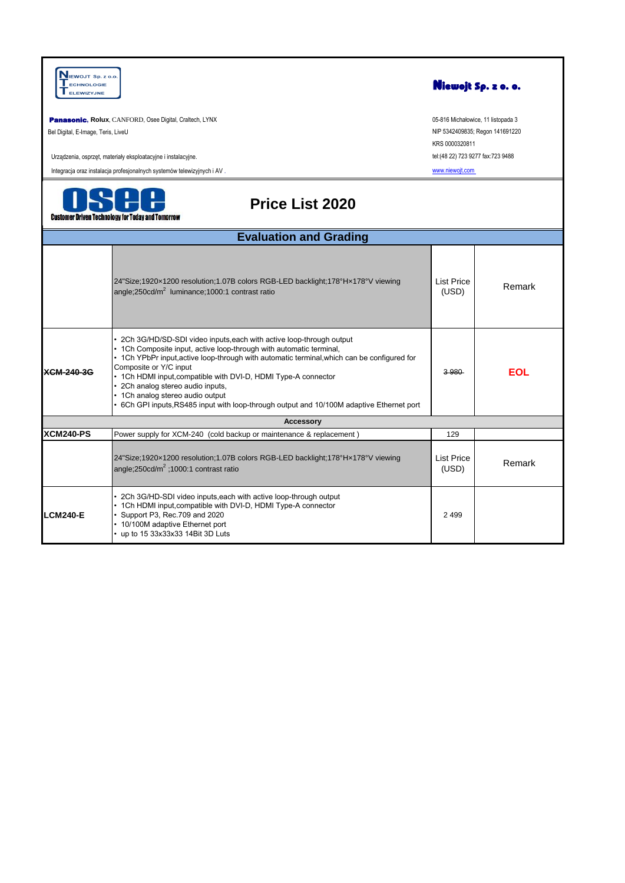| NIEWOJT Sp. z o.o.<br><b>ECHNOLOGIE</b><br>ELEWIZYJNE |                                                                                                                                                                                                                                                                                                                                                                                                                                                                                                       |                                   | Niewojt Sp. z o. o.                |
|-------------------------------------------------------|-------------------------------------------------------------------------------------------------------------------------------------------------------------------------------------------------------------------------------------------------------------------------------------------------------------------------------------------------------------------------------------------------------------------------------------------------------------------------------------------------------|-----------------------------------|------------------------------------|
|                                                       | Panasonic, Rolux, CANFORD, Osee Digital, Craltech, LYNX                                                                                                                                                                                                                                                                                                                                                                                                                                               |                                   | 05-816 Michałowice, 11 listopada 3 |
| Bel Digital, E-Image, Teris, LiveU                    |                                                                                                                                                                                                                                                                                                                                                                                                                                                                                                       | KRS 0000320811                    | NIP 5342409835; Regon 141691220    |
|                                                       | Urządzenia, osprzęt, materiały eksploatacyjne i instalacyjne.                                                                                                                                                                                                                                                                                                                                                                                                                                         | tel:(48 22) 723 9277 fax:723 9488 |                                    |
|                                                       | Integracja oraz instalacja profesjonalnych systemów telewizyjnych i AV.                                                                                                                                                                                                                                                                                                                                                                                                                               | www.niewojt.com                   |                                    |
|                                                       | <b>Price List 2020</b><br><b>Customer Driven Technology for Today and Tomorrow</b>                                                                                                                                                                                                                                                                                                                                                                                                                    |                                   |                                    |
|                                                       | <b>Evaluation and Grading</b>                                                                                                                                                                                                                                                                                                                                                                                                                                                                         |                                   |                                    |
|                                                       | 24"Size;1920x1200 resolution;1.07B colors RGB-LED backlight;178°Hx178°V viewing<br>angle;250cd/m <sup>2</sup> luminance;1000:1 contrast ratio                                                                                                                                                                                                                                                                                                                                                         | <b>List Price</b><br>(USD)        | Remark                             |
| <b>XCM-240-3G</b>                                     | 2Ch 3G/HD/SD-SDI video inputs, each with active loop-through output<br>1Ch Composite input, active loop-through with automatic terminal,<br>• 1Ch YPbPr input, active loop-through with automatic terminal, which can be configured for<br>Composite or Y/C input<br>• 1Ch HDMI input, compatible with DVI-D, HDMI Type-A connector<br>2Ch analog stereo audio inputs,<br>• 1Ch analog stereo audio output<br>6Ch GPI inputs, RS485 input with loop-through output and 10/100M adaptive Ethernet port | 3 9 8 0                           | <b>EOL</b>                         |
|                                                       | <b>Accessory</b>                                                                                                                                                                                                                                                                                                                                                                                                                                                                                      |                                   |                                    |
| <b>XCM240-PS</b>                                      | Power supply for XCM-240 (cold backup or maintenance & replacement)                                                                                                                                                                                                                                                                                                                                                                                                                                   | 129                               |                                    |
|                                                       | 24"Size;1920x1200 resolution;1.07B colors RGB-LED backlight;178°Hx178°V viewing<br>angle: $250cd/m^2$ :1000:1 contrast ratio                                                                                                                                                                                                                                                                                                                                                                          | <b>List Price</b><br>(USD)        | Remark                             |
| <b>LCM240-E</b>                                       | 2Ch 3G/HD-SDI video inputs, each with active loop-through output<br>1Ch HDMI input, compatible with DVI-D, HDMI Type-A connector<br>Support P3, Rec.709 and 2020<br>• 10/100M adaptive Ethernet port<br>up to 15 33x33x33 14Bit 3D Luts                                                                                                                                                                                                                                                               | 2 4 9 9                           |                                    |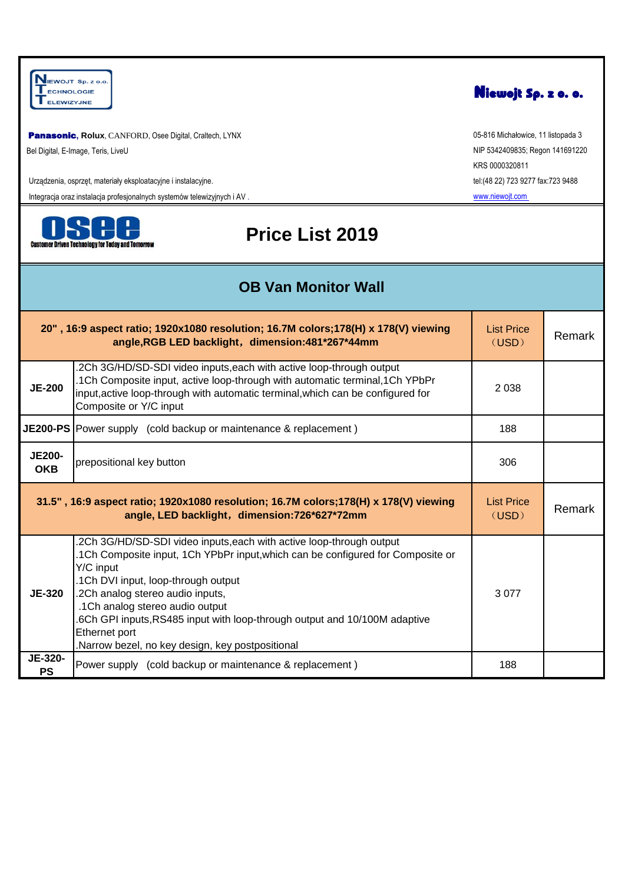NIEWOJT Sp. z o.o.<br>TECHNOLOGIE<br>TELEWIZYJNE

**Panasonic, Rolux, CANFORD, Osee Digital, Craltech, LYNX** Bel Digital, E-Image, Teris, LiveU

Urządzenia, osprzęt, materiały eksploatacyjne i instalacyjne.

Integracja oraz instalacja profesjonalnych systemów telewizyjnych i AV .



## **Price List 2019**

**OB Van Monitor Wall**

|                                                                                                                                       | 20", 16:9 aspect ratio; 1920x1080 resolution; 16.7M colors; 178(H) x 178(V) viewing<br>angle, RGB LED backlight, dimension: 481*267*44mm                                                                                                                                                                                                                                                                                            | <b>List Price</b><br>(USD) | Remark |
|---------------------------------------------------------------------------------------------------------------------------------------|-------------------------------------------------------------------------------------------------------------------------------------------------------------------------------------------------------------------------------------------------------------------------------------------------------------------------------------------------------------------------------------------------------------------------------------|----------------------------|--------|
| <b>JE-200</b>                                                                                                                         | .2Ch 3G/HD/SD-SDI video inputs, each with active loop-through output<br>.1Ch Composite input, active loop-through with automatic terminal, 1Ch YPbPr<br>input, active loop-through with automatic terminal, which can be configured for<br>Composite or Y/C input                                                                                                                                                                   | 2 0 3 8                    |        |
|                                                                                                                                       | <b>JE200-PS</b> Power supply (cold backup or maintenance & replacement)                                                                                                                                                                                                                                                                                                                                                             | 188                        |        |
| <b>JE200-</b><br><b>OKB</b>                                                                                                           | prepositional key button                                                                                                                                                                                                                                                                                                                                                                                                            |                            |        |
| 31.5", 16:9 aspect ratio; 1920x1080 resolution; 16.7M colors; 178(H) x 178(V) viewing<br>angle, LED backlight, dimension:726*627*72mm |                                                                                                                                                                                                                                                                                                                                                                                                                                     |                            | Remark |
| <b>JE-320</b>                                                                                                                         | .2Ch 3G/HD/SD-SDI video inputs, each with active loop-through output<br>.1Ch Composite input, 1Ch YPbPr input, which can be configured for Composite or<br>Y/C input<br>.1Ch DVI input, loop-through output<br>.2Ch analog stereo audio inputs,<br>.1Ch analog stereo audio output<br>6Ch GPI inputs, RS485 input with loop-through output and 10/100M adaptive<br>Ethernet port<br>Narrow bezel, no key design, key postpositional | 3077                       |        |
| JE-320-<br><b>PS</b>                                                                                                                  | Power supply (cold backup or maintenance & replacement)                                                                                                                                                                                                                                                                                                                                                                             | 188                        |        |



05-816 Michałowice, 11 listopada 3 NIP 5342409835; Regon 141691220 KRS 0000320811 tel:(48 22) 723 9277 fax:723 9488 [www.niewojt.com](http://www.niewojt.com/)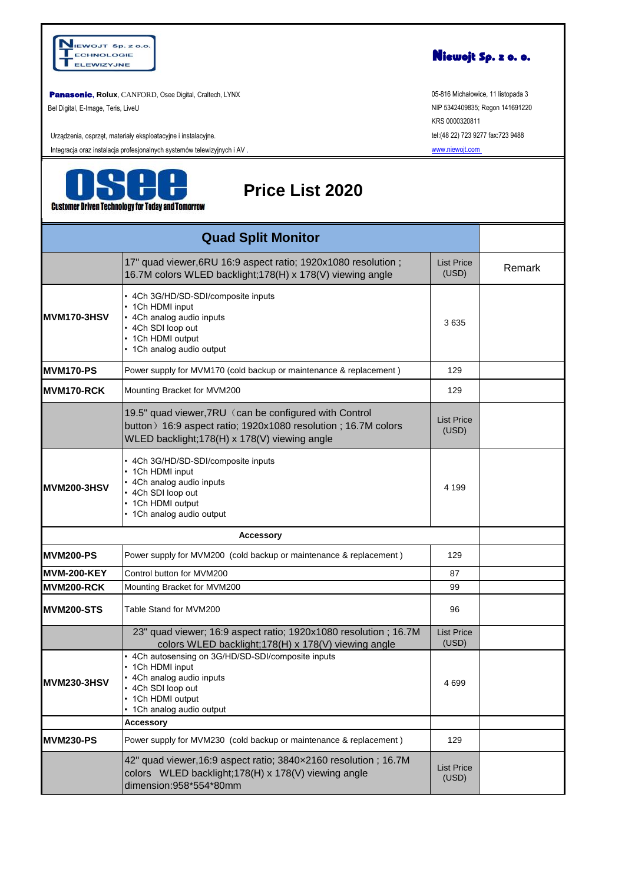

**Panasonic, Rolux, CANFORD, Osee Digital, Craltech, LYNX** 

Bel Digital, E-Image, Teris, LiveU

Urządzenia, osprzęt, materiały eksploatacyjne i instalacyjne.

Integracja oraz instalacja profesjonalnych systemów telewizyjnych i AV .



### **Price List 2020**

|                    | 17" quad viewer, 6RU 16:9 aspect ratio; 1920x1080 resolution;<br>16.7M colors WLED backlight; 178(H) x 178(V) viewing angle                                             | <b>List Price</b><br>(USD) | Remark |
|--------------------|-------------------------------------------------------------------------------------------------------------------------------------------------------------------------|----------------------------|--------|
| <b>MVM170-3HSV</b> | 4Ch 3G/HD/SD-SDI/composite inputs<br>1Ch HDMI input<br>4Ch analog audio inputs<br>• 4Ch SDI loop out<br>1Ch HDMI output<br>• 1Ch analog audio output                    | 3635                       |        |
| <b>MVM170-PS</b>   | Power supply for MVM170 (cold backup or maintenance & replacement)                                                                                                      | 129                        |        |
| MVM170-RCK         | Mounting Bracket for MVM200                                                                                                                                             | 129                        |        |
|                    | 19.5" quad viewer, 7RU (can be configured with Control<br>button) 16:9 aspect ratio; 1920x1080 resolution; 16.7M colors<br>WLED backlight;178(H) x 178(V) viewing angle | <b>List Price</b><br>(USD) |        |
| <b>MVM200-3HSV</b> | 4Ch 3G/HD/SD-SDI/composite inputs<br>1Ch HDMI input<br>4Ch analog audio inputs<br>4Ch SDI loop out<br>• 1Ch HDMI output<br>1Ch analog audio output                      | 4 1 9 9                    |        |
|                    | <b>Accessory</b>                                                                                                                                                        |                            |        |
| <b>MVM200-PS</b>   | Power supply for MVM200 (cold backup or maintenance & replacement)                                                                                                      | 129                        |        |
| <b>MVM-200-KEY</b> | Control button for MVM200                                                                                                                                               | 87                         |        |
| MVM200-RCK         | Mounting Bracket for MVM200                                                                                                                                             | 99                         |        |
| <b>MVM200-STS</b>  | Table Stand for MVM200                                                                                                                                                  | 96                         |        |
|                    | 23" quad viewer; 16:9 aspect ratio; 1920x1080 resolution ; 16.7M<br>colors WLED backlight;178(H) x 178(V) viewing angle                                                 | <b>List Price</b><br>(USD) |        |
| <b>MVM230-3HSV</b> | 4Ch autosensing on 3G/HD/SD-SDI/composite inputs<br>1Ch HDMI input<br>4Ch analog audio inputs<br>4Ch SDI loop out<br>• 1Ch HDMI output<br>1Ch analog audio output       | 4699                       |        |
|                    | <b>Accessory</b>                                                                                                                                                        |                            |        |
| <b>MVM230-PS</b>   | Power supply for MVM230 (cold backup or maintenance & replacement)                                                                                                      | 129                        |        |
|                    | 42" quad viewer, 16:9 aspect ratio; 3840x2160 resolution; 16.7M<br>colors WLED backlight; 178(H) x 178(V) viewing angle<br>dimension:958*554*80mm                       | <b>List Price</b><br>(USD) |        |



05-816 Michałowice, 11 listopada 3 NIP 5342409835; Regon 141691220 KRS 0000320811 tel:(48 22) 723 9277 fax:723 9488

[www.niewojt.com](http://www.niewojt.com/)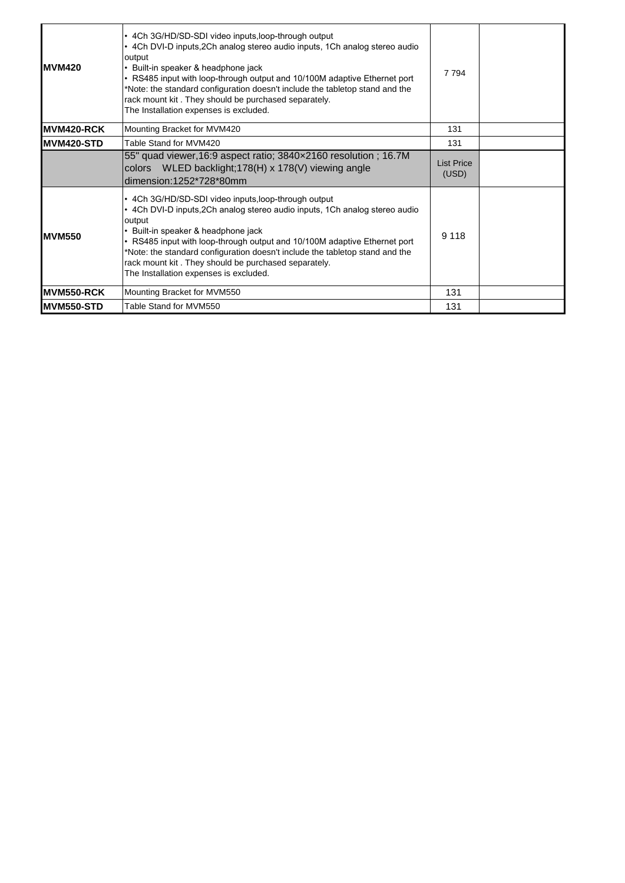| <b>MVM420</b>     | • 4Ch 3G/HD/SD-SDI video inputs, loop-through output<br>• 4Ch DVI-D inputs, 2Ch analog stereo audio inputs, 1Ch analog stereo audio<br>output<br>• Built-in speaker & headphone jack<br>• RS485 input with loop-through output and 10/100M adaptive Ethernet port<br>*Note: the standard configuration doesn't include the tabletop stand and the<br>rack mount kit. They should be purchased separately.<br>The Installation expenses is excluded. | 7 7 9 4                    |  |
|-------------------|-----------------------------------------------------------------------------------------------------------------------------------------------------------------------------------------------------------------------------------------------------------------------------------------------------------------------------------------------------------------------------------------------------------------------------------------------------|----------------------------|--|
| MVM420-RCK        | Mounting Bracket for MVM420                                                                                                                                                                                                                                                                                                                                                                                                                         | 131                        |  |
| MVM420-STD        | Table Stand for MVM420                                                                                                                                                                                                                                                                                                                                                                                                                              | 131                        |  |
|                   | 55" quad viewer, 16:9 aspect ratio; 3840×2160 resolution; 16.7M<br>colors WLED backlight;178(H) x 178(V) viewing angle<br>dimension:1252*728*80mm                                                                                                                                                                                                                                                                                                   | <b>List Price</b><br>(USD) |  |
| <b>IMVM550</b>    | • 4Ch 3G/HD/SD-SDI video inputs, loop-through output<br>• 4Ch DVI-D inputs, 2Ch analog stereo audio inputs, 1Ch analog stereo audio<br>output<br>• Built-in speaker & headphone jack<br>• RS485 input with loop-through output and 10/100M adaptive Ethernet port<br>*Note: the standard configuration doesn't include the tabletop stand and the<br>rack mount kit. They should be purchased separately.<br>The Installation expenses is excluded. | 9 1 1 8                    |  |
| MVM550-RCK        | Mounting Bracket for MVM550                                                                                                                                                                                                                                                                                                                                                                                                                         | 131                        |  |
| <b>MVM550-STD</b> | Table Stand for MVM550                                                                                                                                                                                                                                                                                                                                                                                                                              | 131                        |  |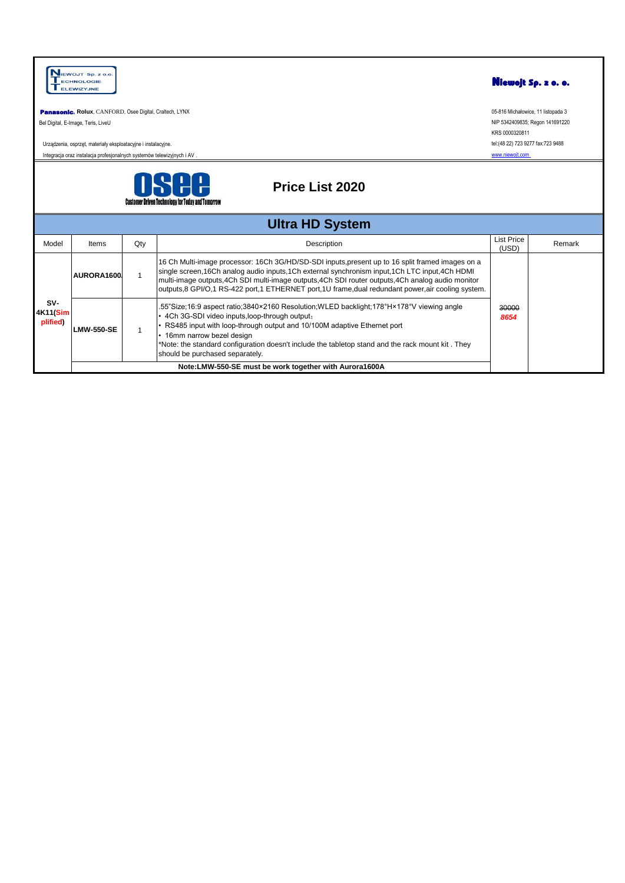|                             | NIEWOJT Sp. z o.o.<br><b>ECHNOLOGIE</b><br><b>ELEWIZYJNE</b>                                                                             |     |                                                                                                                                                                                                                                                                                                                                                                                                               |                                                                        | Niewojt Sp. z o. o.                                                   |  |
|-----------------------------|------------------------------------------------------------------------------------------------------------------------------------------|-----|---------------------------------------------------------------------------------------------------------------------------------------------------------------------------------------------------------------------------------------------------------------------------------------------------------------------------------------------------------------------------------------------------------------|------------------------------------------------------------------------|-----------------------------------------------------------------------|--|
|                             | Panasonic, Rolux, CANFORD, Osee Digital, Craltech, LYNX<br>Bel Digital, E-Image, Teris, LiveU                                            |     |                                                                                                                                                                                                                                                                                                                                                                                                               |                                                                        | 05-816 Michałowice, 11 listopada 3<br>NIP 5342409835; Regon 141691220 |  |
|                             | Urządzenia, osprzęt, materiały eksploatacyjne i instalacyjne.<br>Integracja oraz instalacja profesjonalnych systemów telewizyjnych i AV. |     |                                                                                                                                                                                                                                                                                                                                                                                                               | KRS 0000320811<br>tel:(48 22) 723 9277 fax:723 9488<br>www.niewojt.com |                                                                       |  |
|                             | <b>Price List 2020</b><br><b>Customer Driven Technology for Today and Tomorrow</b>                                                       |     |                                                                                                                                                                                                                                                                                                                                                                                                               |                                                                        |                                                                       |  |
|                             |                                                                                                                                          |     | <b>Ultra HD System</b>                                                                                                                                                                                                                                                                                                                                                                                        |                                                                        |                                                                       |  |
| Model                       | Items                                                                                                                                    | Qty | Description                                                                                                                                                                                                                                                                                                                                                                                                   | <b>List Price</b><br>(USD)                                             | Remark                                                                |  |
|                             | AURORA1600                                                                                                                               |     | 16 Ch Multi-image processor: 16Ch 3G/HD/SD-SDI inputs, present up to 16 split framed images on a<br>single screen, 16Ch analog audio inputs, 1Ch external synchronism input, 1Ch LTC input, 4Ch HDMI<br>multi-image outputs, 4Ch SDI multi-image outputs, 4Ch SDI router outputs, 4Ch analog audio monitor<br>outputs,8 GPI/O,1 RS-422 port,1 ETHERNET port,1U frame,dual redundant power,air cooling system. |                                                                        |                                                                       |  |
| SV-<br>4K11(Sim<br>plified) | <b>LMW-550-SE</b>                                                                                                                        | 1   | 55"Size;16:9 aspect ratio;3840×2160 Resolution;WLED backlight;178°H×178°V viewing angle<br>4Ch 3G-SDI video inputs, loop-through output;<br>RS485 input with loop-through output and 10/100M adaptive Ethernet port<br>16mm narrow bezel design<br>Note: the standard configuration doesn't include the tabletop stand and the rack mount kit. They"<br>should be purchased separately.                       | 30000<br>8654                                                          |                                                                       |  |
|                             |                                                                                                                                          |     | Note:LMW-550-SE must be work together with Aurora1600A                                                                                                                                                                                                                                                                                                                                                        |                                                                        |                                                                       |  |